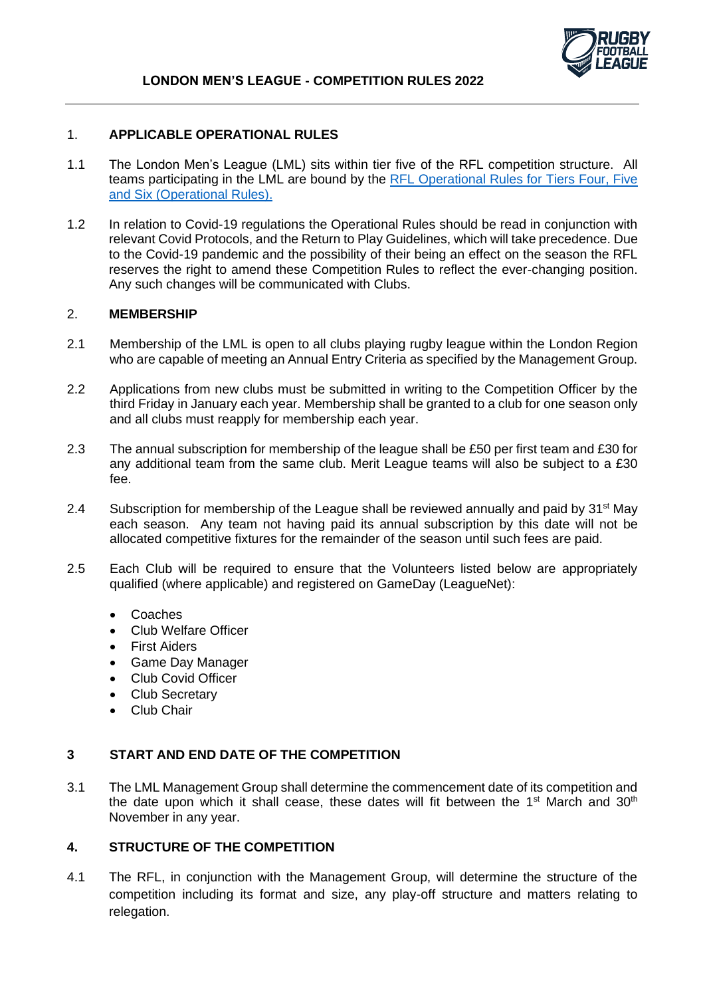

#### 1. **APPLICABLE OPERATIONAL RULES**

- 1.1 The London Men's League (LML) sits within tier five of the RFL competition structure. All teams participating in the LML are bound by the [RFL Operational Rules for Tiers Four, Five](https://staging.rugby-league.com/flipbooks/2022-operational-rules-tiers-4-6/index.html) [and Six \(Operational Rules\).](https://staging.rugby-league.com/flipbooks/2022-operational-rules-tiers-4-6/index.html)
- 1.2 In relation to Covid-19 regulations the Operational Rules should be read in conjunction with relevant Covid Protocols, and the Return to Play Guidelines, which will take precedence. Due to the Covid-19 pandemic and the possibility of their being an effect on the season the RFL reserves the right to amend these Competition Rules to reflect the ever-changing position. Any such changes will be communicated with Clubs.

#### 2. **MEMBERSHIP**

- 2.1 Membership of the LML is open to all clubs playing rugby league within the London Region who are capable of meeting an Annual Entry Criteria as specified by the Management Group.
- 2.2 Applications from new clubs must be submitted in writing to the Competition Officer by the third Friday in January each year. Membership shall be granted to a club for one season only and all clubs must reapply for membership each year.
- 2.3 The annual subscription for membership of the league shall be £50 per first team and £30 for any additional team from the same club. Merit League teams will also be subject to a £30 fee.
- 2.4 Subscription for membership of the League shall be reviewed annually and paid by 31<sup>st</sup> May each season. Any team not having paid its annual subscription by this date will not be allocated competitive fixtures for the remainder of the season until such fees are paid.
- 2.5 Each Club will be required to ensure that the Volunteers listed below are appropriately qualified (where applicable) and registered on GameDay (LeagueNet):
	- **Coaches**
	- Club Welfare Officer
	- First Aiders
	- Game Day Manager
	- Club Covid Officer
	- Club Secretary
	- Club Chair

#### **3 START AND END DATE OF THE COMPETITION**

3.1 The LML Management Group shall determine the commencement date of its competition and the date upon which it shall cease, these dates will fit between the 1<sup>st</sup> March and 30<sup>th</sup> November in any year.

#### **4. STRUCTURE OF THE COMPETITION**

4.1 The RFL, in conjunction with the Management Group, will determine the structure of the competition including its format and size, any play-off structure and matters relating to relegation.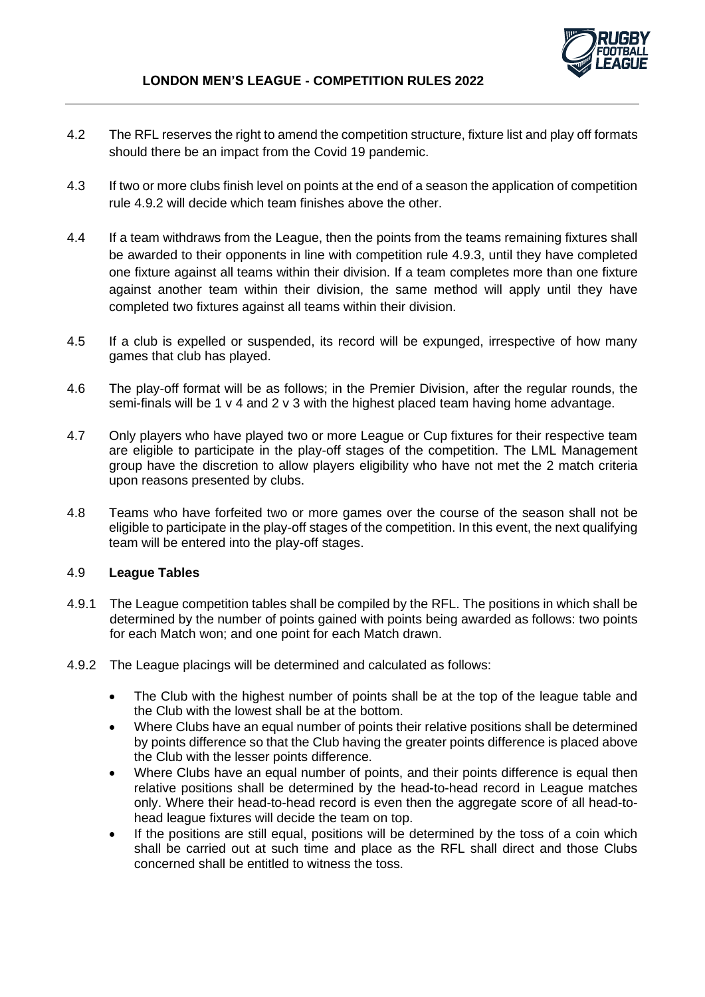

- 4.2 The RFL reserves the right to amend the competition structure, fixture list and play off formats should there be an impact from the Covid 19 pandemic.
- 4.3 If two or more clubs finish level on points at the end of a season the application of competition rule 4.9.2 will decide which team finishes above the other.
- 4.4 If a team withdraws from the League, then the points from the teams remaining fixtures shall be awarded to their opponents in line with competition rule 4.9.3, until they have completed one fixture against all teams within their division. If a team completes more than one fixture against another team within their division, the same method will apply until they have completed two fixtures against all teams within their division.
- 4.5 If a club is expelled or suspended, its record will be expunged, irrespective of how many games that club has played.
- 4.6 The play-off format will be as follows; in the Premier Division, after the regular rounds, the semi-finals will be 1 v 4 and 2 v 3 with the highest placed team having home advantage.
- 4.7 Only players who have played two or more League or Cup fixtures for their respective team are eligible to participate in the play-off stages of the competition. The LML Management group have the discretion to allow players eligibility who have not met the 2 match criteria upon reasons presented by clubs.
- 4.8 Teams who have forfeited two or more games over the course of the season shall not be eligible to participate in the play-off stages of the competition. In this event, the next qualifying team will be entered into the play-off stages.

# 4.9 **League Tables**

- 4.9.1 The League competition tables shall be compiled by the RFL. The positions in which shall be determined by the number of points gained with points being awarded as follows: two points for each Match won; and one point for each Match drawn.
- 4.9.2 The League placings will be determined and calculated as follows:
	- The Club with the highest number of points shall be at the top of the league table and the Club with the lowest shall be at the bottom.
	- Where Clubs have an equal number of points their relative positions shall be determined by points difference so that the Club having the greater points difference is placed above the Club with the lesser points difference.
	- Where Clubs have an equal number of points, and their points difference is equal then relative positions shall be determined by the head-to-head record in League matches only. Where their head-to-head record is even then the aggregate score of all head-tohead league fixtures will decide the team on top.
	- If the positions are still equal, positions will be determined by the toss of a coin which shall be carried out at such time and place as the RFL shall direct and those Clubs concerned shall be entitled to witness the toss.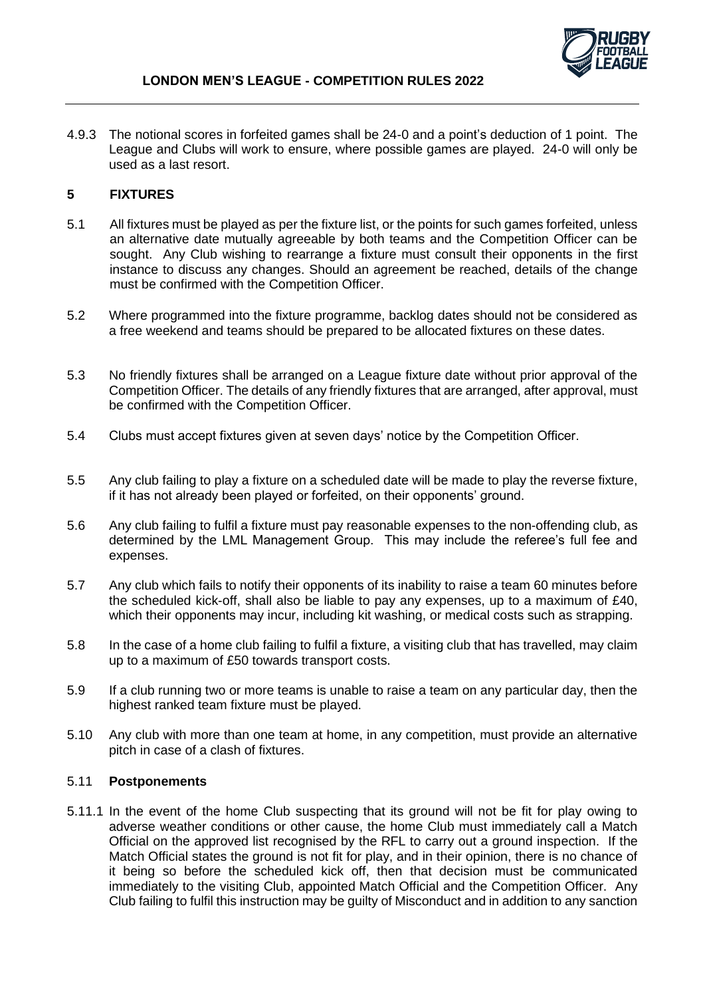

4.9.3 The notional scores in forfeited games shall be 24-0 and a point's deduction of 1 point. The League and Clubs will work to ensure, where possible games are played. 24-0 will only be used as a last resort.

# **5 FIXTURES**

- 5.1 All fixtures must be played as per the fixture list, or the points for such games forfeited, unless an alternative date mutually agreeable by both teams and the Competition Officer can be sought. Any Club wishing to rearrange a fixture must consult their opponents in the first instance to discuss any changes. Should an agreement be reached, details of the change must be confirmed with the Competition Officer.
- 5.2 Where programmed into the fixture programme, backlog dates should not be considered as a free weekend and teams should be prepared to be allocated fixtures on these dates.
- 5.3 No friendly fixtures shall be arranged on a League fixture date without prior approval of the Competition Officer. The details of any friendly fixtures that are arranged, after approval, must be confirmed with the Competition Officer.
- 5.4 Clubs must accept fixtures given at seven days' notice by the Competition Officer.
- 5.5 Any club failing to play a fixture on a scheduled date will be made to play the reverse fixture, if it has not already been played or forfeited, on their opponents' ground.
- 5.6 Any club failing to fulfil a fixture must pay reasonable expenses to the non-offending club, as determined by the LML Management Group. This may include the referee's full fee and expenses.
- 5.7 Any club which fails to notify their opponents of its inability to raise a team 60 minutes before the scheduled kick-off, shall also be liable to pay any expenses, up to a maximum of £40, which their opponents may incur, including kit washing, or medical costs such as strapping.
- 5.8 In the case of a home club failing to fulfil a fixture, a visiting club that has travelled, may claim up to a maximum of £50 towards transport costs.
- 5.9 If a club running two or more teams is unable to raise a team on any particular day, then the highest ranked team fixture must be played.
- 5.10 Any club with more than one team at home, in any competition, must provide an alternative pitch in case of a clash of fixtures.

#### 5.11 **Postponements**

5.11.1 In the event of the home Club suspecting that its ground will not be fit for play owing to adverse weather conditions or other cause, the home Club must immediately call a Match Official on the approved list recognised by the RFL to carry out a ground inspection. If the Match Official states the ground is not fit for play, and in their opinion, there is no chance of it being so before the scheduled kick off, then that decision must be communicated immediately to the visiting Club, appointed Match Official and the Competition Officer. Any Club failing to fulfil this instruction may be guilty of Misconduct and in addition to any sanction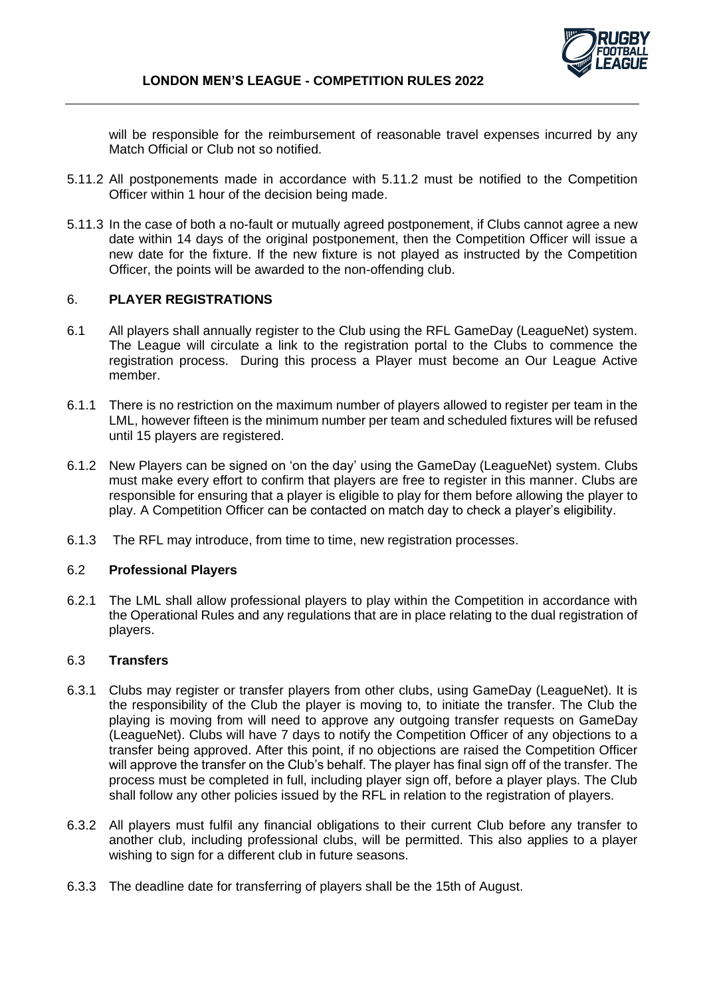

will be responsible for the reimbursement of reasonable travel expenses incurred by any Match Official or Club not so notified.

- 5.11.2 All postponements made in accordance with 5.11.2 must be notified to the Competition Officer within 1 hour of the decision being made.
- 5.11.3 In the case of both a no-fault or mutually agreed postponement, if Clubs cannot agree a new date within 14 days of the original postponement, then the Competition Officer will issue a new date for the fixture. If the new fixture is not played as instructed by the Competition Officer, the points will be awarded to the non-offending club.

# 6. **PLAYER REGISTRATIONS**

- 6.1 All players shall annually register to the Club using the RFL GameDay (LeagueNet) system. The League will circulate a link to the registration portal to the Clubs to commence the registration process. During this process a Player must become an Our League Active member.
- 6.1.1 There is no restriction on the maximum number of players allowed to register per team in the LML, however fifteen is the minimum number per team and scheduled fixtures will be refused until 15 players are registered.
- 6.1.2 New Players can be signed on 'on the day' using the GameDay (LeagueNet) system. Clubs must make every effort to confirm that players are free to register in this manner. Clubs are responsible for ensuring that a player is eligible to play for them before allowing the player to play. A Competition Officer can be contacted on match day to check a player's eligibility.
- 6.1.3 The RFL may introduce, from time to time, new registration processes.

#### 6.2 **Professional Players**

6.2.1 The LML shall allow professional players to play within the Competition in accordance with the Operational Rules and any regulations that are in place relating to the dual registration of players.

#### 6.3 **Transfers**

- 6.3.1 Clubs may register or transfer players from other clubs, using GameDay (LeagueNet). It is the responsibility of the Club the player is moving to, to initiate the transfer. The Club the playing is moving from will need to approve any outgoing transfer requests on GameDay (LeagueNet). Clubs will have 7 days to notify the Competition Officer of any objections to a transfer being approved. After this point, if no objections are raised the Competition Officer will approve the transfer on the Club's behalf. The player has final sign off of the transfer. The process must be completed in full, including player sign off, before a player plays. The Club shall follow any other policies issued by the RFL in relation to the registration of players.
- 6.3.2 All players must fulfil any financial obligations to their current Club before any transfer to another club, including professional clubs, will be permitted. This also applies to a player wishing to sign for a different club in future seasons.
- 6.3.3 The deadline date for transferring of players shall be the 15th of August.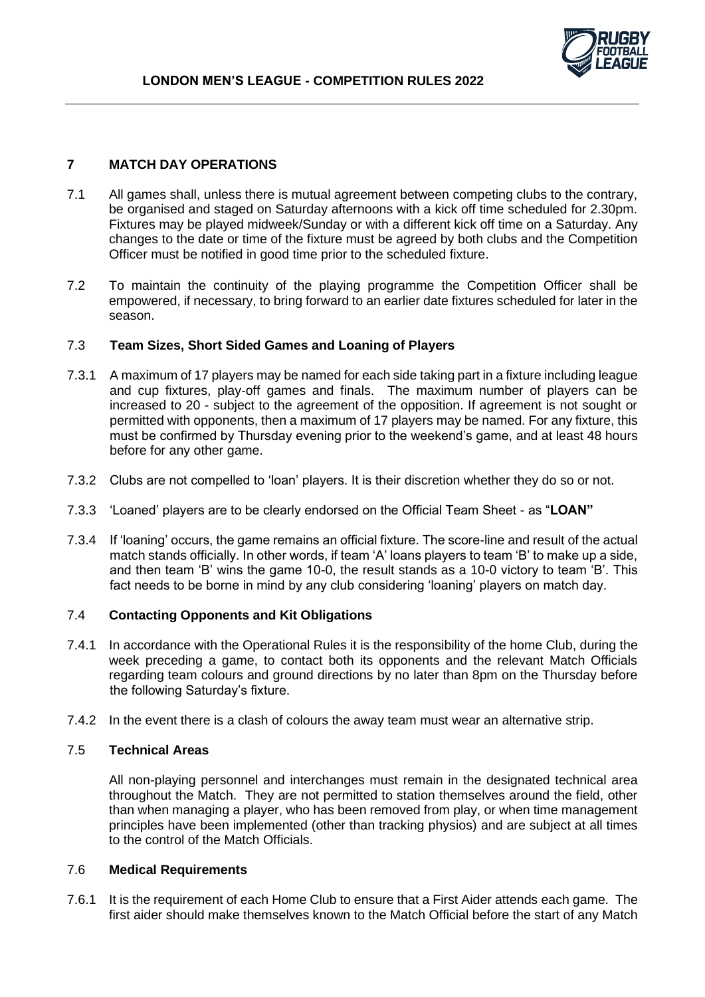

# **7 MATCH DAY OPERATIONS**

- 7.1 All games shall, unless there is mutual agreement between competing clubs to the contrary, be organised and staged on Saturday afternoons with a kick off time scheduled for 2.30pm. Fixtures may be played midweek/Sunday or with a different kick off time on a Saturday. Any changes to the date or time of the fixture must be agreed by both clubs and the Competition Officer must be notified in good time prior to the scheduled fixture.
- 7.2 To maintain the continuity of the playing programme the Competition Officer shall be empowered, if necessary, to bring forward to an earlier date fixtures scheduled for later in the season.

### 7.3 **Team Sizes, Short Sided Games and Loaning of Players**

- 7.3.1 A maximum of 17 players may be named for each side taking part in a fixture including league and cup fixtures, play-off games and finals. The maximum number of players can be increased to 20 - subject to the agreement of the opposition. If agreement is not sought or permitted with opponents, then a maximum of 17 players may be named. For any fixture, this must be confirmed by Thursday evening prior to the weekend's game, and at least 48 hours before for any other game.
- 7.3.2 Clubs are not compelled to 'loan' players. It is their discretion whether they do so or not.
- 7.3.3 'Loaned' players are to be clearly endorsed on the Official Team Sheet as "**LOAN"**
- 7.3.4 If 'loaning' occurs, the game remains an official fixture. The score-line and result of the actual match stands officially. In other words, if team 'A' loans players to team 'B' to make up a side, and then team 'B' wins the game 10-0, the result stands as a 10-0 victory to team 'B'. This fact needs to be borne in mind by any club considering 'loaning' players on match day.

#### 7.4 **Contacting Opponents and Kit Obligations**

- 7.4.1 In accordance with the Operational Rules it is the responsibility of the home Club, during the week preceding a game, to contact both its opponents and the relevant Match Officials regarding team colours and ground directions by no later than 8pm on the Thursday before the following Saturday's fixture.
- 7.4.2 In the event there is a clash of colours the away team must wear an alternative strip.

## 7.5 **Technical Areas**

All non-playing personnel and interchanges must remain in the designated technical area throughout the Match. They are not permitted to station themselves around the field, other than when managing a player, who has been removed from play, or when time management principles have been implemented (other than tracking physios) and are subject at all times to the control of the Match Officials.

### 7.6 **Medical Requirements**

7.6.1 It is the requirement of each Home Club to ensure that a First Aider attends each game. The first aider should make themselves known to the Match Official before the start of any Match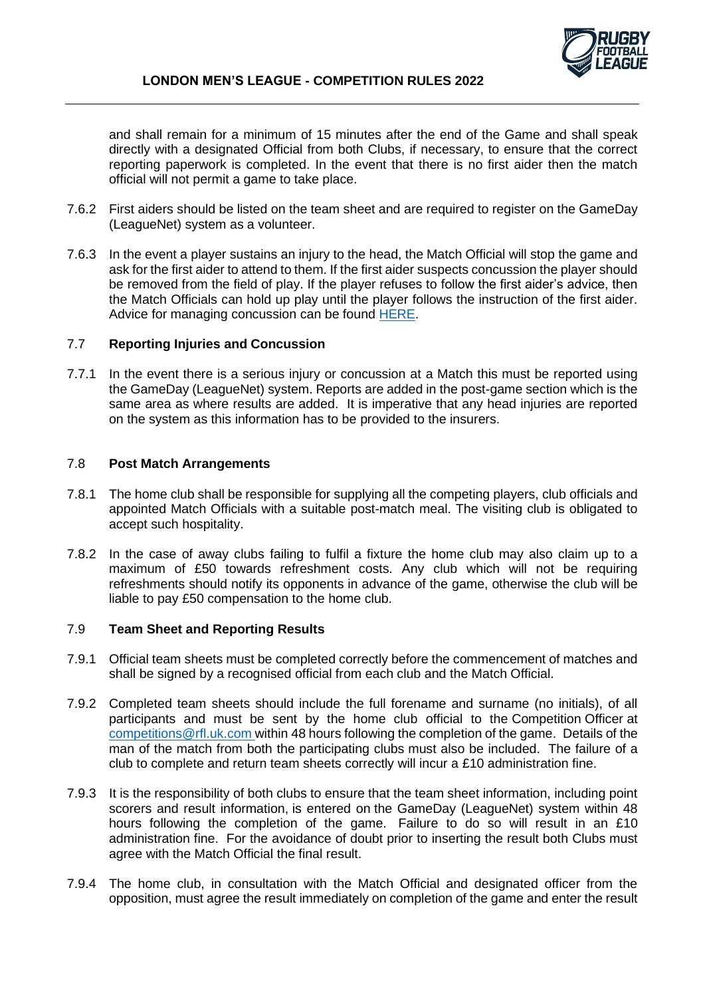

and shall remain for a minimum of 15 minutes after the end of the Game and shall speak directly with a designated Official from both Clubs, if necessary, to ensure that the correct reporting paperwork is completed. In the event that there is no first aider then the match official will not permit a game to take place.

- 7.6.2 First aiders should be listed on the team sheet and are required to register on the GameDay (LeagueNet) system as a volunteer.
- 7.6.3 In the event a player sustains an injury to the head, the Match Official will stop the game and ask for the first aider to attend to them. If the first aider suspects concussion the player should be removed from the field of play. If the player refuses to follow the first aider's advice, then the Match Officials can hold up play until the player follows the instruction of the first aider. Advice for managing concussion can be found [HERE.](https://www.rugby-league.com/governance/medical/concussion)

## 7.7 **Reporting Injuries and Concussion**

7.7.1 In the event there is a serious injury or concussion at a Match this must be reported using the GameDay (LeagueNet) system. Reports are added in the post-game section which is the same area as where results are added. It is imperative that any head injuries are reported on the system as this information has to be provided to the insurers.

### 7.8 **Post Match Arrangements**

- 7.8.1 The home club shall be responsible for supplying all the competing players, club officials and appointed Match Officials with a suitable post-match meal. The visiting club is obligated to accept such hospitality.
- 7.8.2 In the case of away clubs failing to fulfil a fixture the home club may also claim up to a maximum of £50 towards refreshment costs. Any club which will not be requiring refreshments should notify its opponents in advance of the game, otherwise the club will be liable to pay £50 compensation to the home club.

#### 7.9 **Team Sheet and Reporting Results**

- 7.9.1 Official team sheets must be completed correctly before the commencement of matches and shall be signed by a recognised official from each club and the Match Official.
- 7.9.2 Completed team sheets should include the full forename and surname (no initials), of all participants and must be sent by the home club official to the Competition Officer at [competitions@rfl.uk.com](mailto:competitions@rfl.uk.com) within 48 hours following the completion of the game. Details of the man of the match from both the participating clubs must also be included. The failure of a club to complete and return team sheets correctly will incur a £10 administration fine.
- 7.9.3 It is the responsibility of both clubs to ensure that the team sheet information, including point scorers and result information, is entered on the GameDay (LeagueNet) system within 48 hours following the completion of the game. Failure to do so will result in an £10 administration fine. For the avoidance of doubt prior to inserting the result both Clubs must agree with the Match Official the final result.
- 7.9.4 The home club, in consultation with the Match Official and designated officer from the opposition, must agree the result immediately on completion of the game and enter the result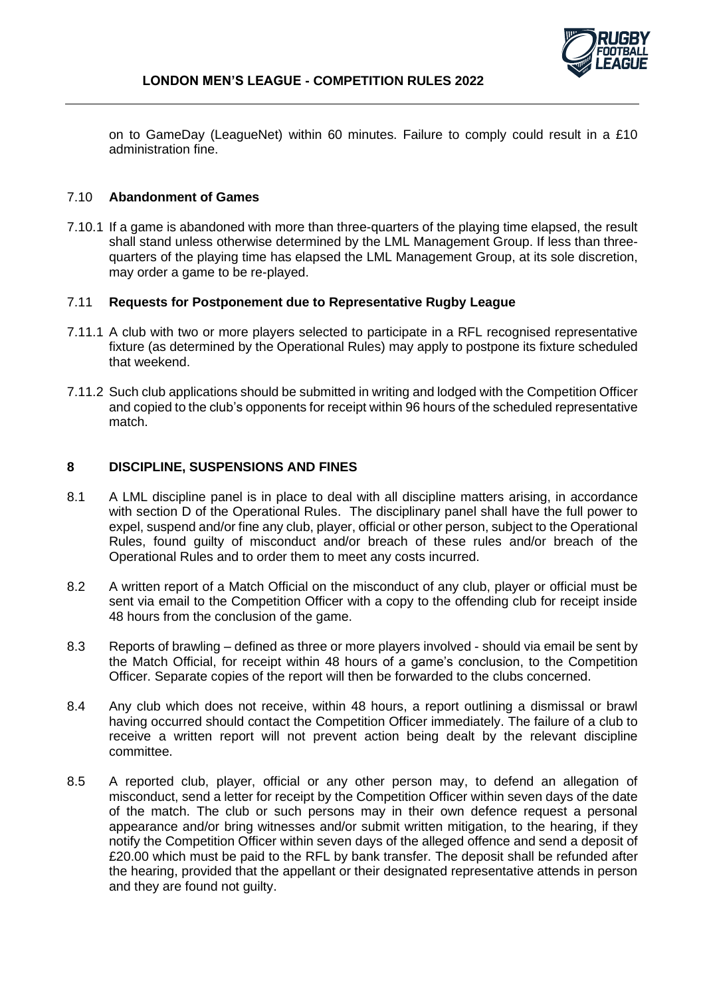

on to GameDay (LeagueNet) within 60 minutes. Failure to comply could result in a £10 administration fine.

#### 7.10 **Abandonment of Games**

7.10.1 If a game is abandoned with more than three-quarters of the playing time elapsed, the result shall stand unless otherwise determined by the LML Management Group. If less than threequarters of the playing time has elapsed the LML Management Group, at its sole discretion, may order a game to be re-played.

#### 7.11 **Requests for Postponement due to Representative Rugby League**

- 7.11.1 A club with two or more players selected to participate in a RFL recognised representative fixture (as determined by the Operational Rules) may apply to postpone its fixture scheduled that weekend.
- 7.11.2 Such club applications should be submitted in writing and lodged with the Competition Officer and copied to the club's opponents for receipt within 96 hours of the scheduled representative match.

### **8 DISCIPLINE, SUSPENSIONS AND FINES**

- 8.1 A LML discipline panel is in place to deal with all discipline matters arising, in accordance with section D of the Operational Rules. The disciplinary panel shall have the full power to expel, suspend and/or fine any club, player, official or other person, subject to the Operational Rules, found guilty of misconduct and/or breach of these rules and/or breach of the Operational Rules and to order them to meet any costs incurred.
- 8.2 A written report of a Match Official on the misconduct of any club, player or official must be sent via email to the Competition Officer with a copy to the offending club for receipt inside 48 hours from the conclusion of the game.
- 8.3 Reports of brawling defined as three or more players involved should via email be sent by the Match Official, for receipt within 48 hours of a game's conclusion, to the Competition Officer. Separate copies of the report will then be forwarded to the clubs concerned.
- 8.4 Any club which does not receive, within 48 hours, a report outlining a dismissal or brawl having occurred should contact the Competition Officer immediately. The failure of a club to receive a written report will not prevent action being dealt by the relevant discipline committee.
- 8.5 A reported club, player, official or any other person may, to defend an allegation of misconduct, send a letter for receipt by the Competition Officer within seven days of the date of the match. The club or such persons may in their own defence request a personal appearance and/or bring witnesses and/or submit written mitigation, to the hearing, if they notify the Competition Officer within seven days of the alleged offence and send a deposit of £20.00 which must be paid to the RFL by bank transfer. The deposit shall be refunded after the hearing, provided that the appellant or their designated representative attends in person and they are found not guilty.